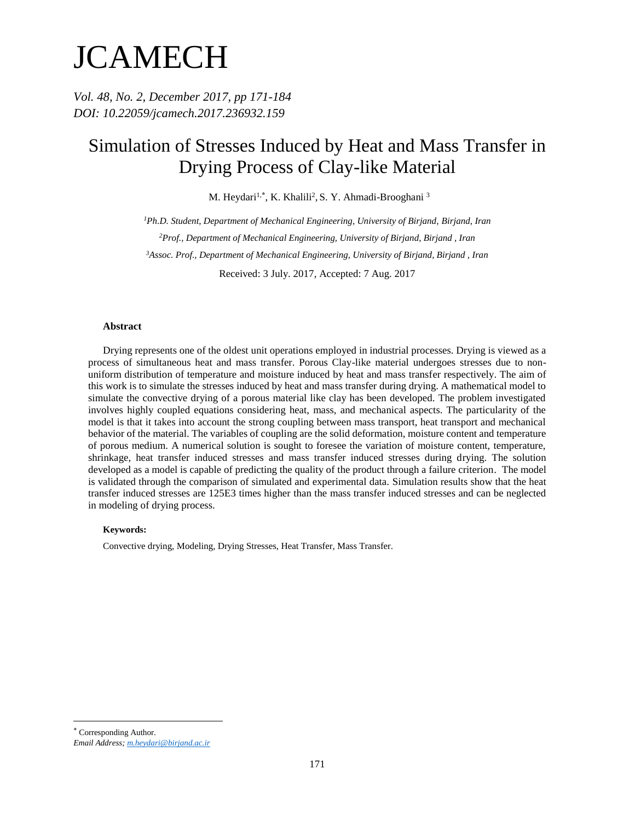# **JCAMECH**

*Vol. 48, No. 2, December 2017, pp 171-184 DOI: 10.22059/jcamech.2017.236932.159*

## Simulation of Stresses Induced by Heat and Mass Transfer in Drying Process of Clay-like Material

M. Heydari<sup>1,\*</sup>, K. Khalili<sup>2</sup>, S. Y. Ahmadi-Brooghani<sup>3</sup>

*<sup>1</sup>Ph.D. Student, Department of Mechanical Engineering, University of Birjand, Birjand, Iran <sup>2</sup>Prof., Department of Mechanical Engineering, University of Birjand, Birjand , Iran <sup>3</sup>Assoc. Prof., Department of Mechanical Engineering, University of Birjand, Birjand , Iran*

Received: 3 July. 2017, Accepted: 7 Aug. 2017

### **Abstract**

Drying represents one of the oldest unit operations employed in industrial processes. Drying is viewed as a process of simultaneous heat and mass transfer. Porous Clay-like material undergoes stresses due to nonuniform distribution of temperature and moisture induced by heat and mass transfer respectively. The aim of this work is to simulate the stresses induced by heat and mass transfer during drying. A mathematical model to simulate the convective drying of a porous material like clay has been developed. The problem investigated involves highly coupled equations considering heat, mass, and mechanical aspects. The particularity of the model is that it takes into account the strong coupling between mass transport, heat transport and mechanical behavior of the material. The variables of coupling are the solid deformation, moisture content and temperature of porous medium. A numerical solution is sought to foresee the variation of moisture content, temperature, shrinkage, heat transfer induced stresses and mass transfer induced stresses during drying. The solution developed as a model is capable of predicting the quality of the product through a failure criterion. The model is validated through the comparison of simulated and experimental data. Simulation results show that the heat transfer induced stresses are 125E3 times higher than the mass transfer induced stresses and can be neglected in modeling of drying process.

### **Keywords:**

Convective drying, Modeling, Drying Stresses, Heat Transfer, Mass Transfer.

 $\overline{a}$ 

<sup>\*</sup> Corresponding Author.

*Email Address; m.heydari@birjand.ac.ir*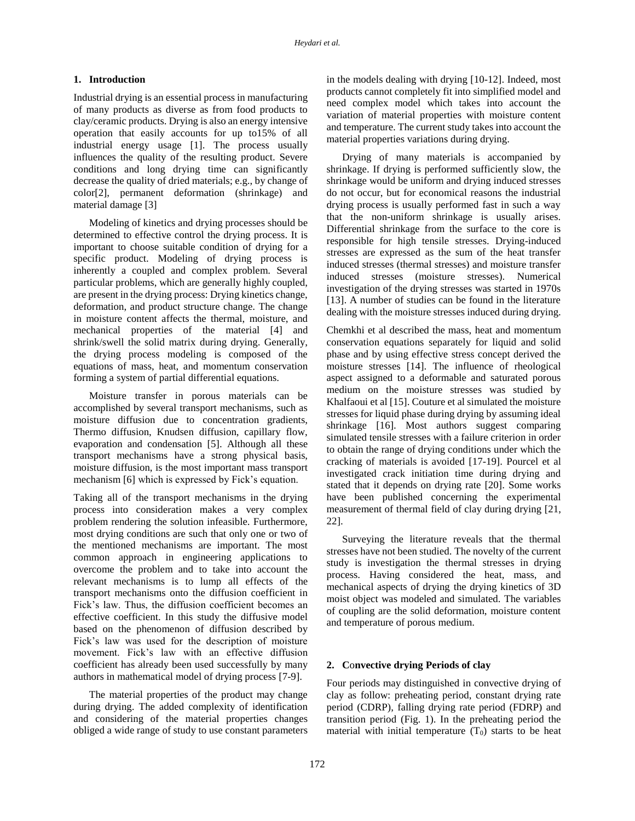### **1. Introduction**

Industrial drying is an essential process in manufacturing of many products as diverse as from food products to clay/ceramic products. Drying is also an energy intensive operation that easily accounts for up to15% of all industrial energy usage [1]. The process usually influences the quality of the resulting product. Severe conditions and long drying time can significantly decrease the quality of dried materials; e.g., by change of color[2], permanent deformation (shrinkage) and material damage [3]

Modeling of kinetics and drying processes should be determined to effective control the drying process. It is important to choose suitable condition of drying for a specific product. Modeling of drying process is inherently a coupled and complex problem. Several particular problems, which are generally highly coupled, are present in the drying process: Drying kinetics change, deformation, and product structure change. The change in moisture content affects the thermal, moisture, and mechanical properties of the material [4] and shrink/swell the solid matrix during drying. Generally, the drying process modeling is composed of the equations of mass, heat, and momentum conservation forming a system of partial differential equations.

Moisture transfer in porous materials can be accomplished by several transport mechanisms, such as moisture diffusion due to concentration gradients, Thermo diffusion, Knudsen diffusion, capillary flow, evaporation and condensation [5]. Although all these transport mechanisms have a strong physical basis, moisture diffusion, is the most important mass transport mechanism [6] which is expressed by Fick's equation.

Taking all of the transport mechanisms in the drying process into consideration makes a very complex problem rendering the solution infeasible. Furthermore, most drying conditions are such that only one or two of the mentioned mechanisms are important. The most common approach in engineering applications to overcome the problem and to take into account the relevant mechanisms is to lump all effects of the transport mechanisms onto the diffusion coefficient in Fick's law. Thus, the diffusion coefficient becomes an effective coefficient. In this study the diffusive model based on the phenomenon of diffusion described by Fick's law was used for the description of moisture movement. Fick's law with an effective diffusion coefficient has already been used successfully by many authors in mathematical model of drying process [7-9].

The material properties of the product may change during drying. The added complexity of identification and considering of the material properties changes obliged a wide range of study to use constant parameters in the models dealing with drying [10-12]. Indeed, most products cannot completely fit into simplified model and need complex model which takes into account the variation of material properties with moisture content and temperature. The current study takes into account the material properties variations during drying.

Drying of many materials is accompanied by shrinkage. If drying is performed sufficiently slow, the shrinkage would be uniform and drying induced stresses do not occur, but for economical reasons the industrial drying process is usually performed fast in such a way that the non-uniform shrinkage is usually arises. Differential shrinkage from the surface to the core is responsible for high tensile stresses. Drying-induced stresses are expressed as the sum of the heat transfer induced stresses (thermal stresses) and moisture transfer induced stresses (moisture stresses). Numerical investigation of the drying stresses was started in 1970s [13]. A number of studies can be found in the literature dealing with the moisture stresses induced during drying.

Chemkhi et al described the mass, heat and momentum conservation equations separately for liquid and solid phase and by using effective stress concept derived the moisture stresses [14]. The influence of rheological aspect assigned to a deformable and saturated porous medium on the moisture stresses was studied by Khalfaoui et al [15]. Couture et al simulated the moisture stresses for liquid phase during drying by assuming ideal shrinkage [16]. Most authors suggest comparing simulated tensile stresses with a failure criterion in order to obtain the range of drying conditions under which the cracking of materials is avoided [17-19]. Pourcel et al investigated crack initiation time during drying and stated that it depends on drying rate [20]. Some works have been published concerning the experimental measurement of thermal field of clay during drying [21, 22].

Surveying the literature reveals that the thermal stresses have not been studied. The novelty of the current study is investigation the thermal stresses in drying process. Having considered the heat, mass, and mechanical aspects of drying the drying kinetics of 3D moist object was modeled and simulated. The variables of coupling are the solid deformation, moisture content and temperature of porous medium.

### **2. C**o**nvective drying Periods of clay**

Four periods may distinguished in convective drying of clay as follow: preheating period, constant drying rate period (CDRP), falling drying rate period (FDRP) and transition period (Fig. 1). In the preheating period the material with initial temperature  $(T_0)$  starts to be heat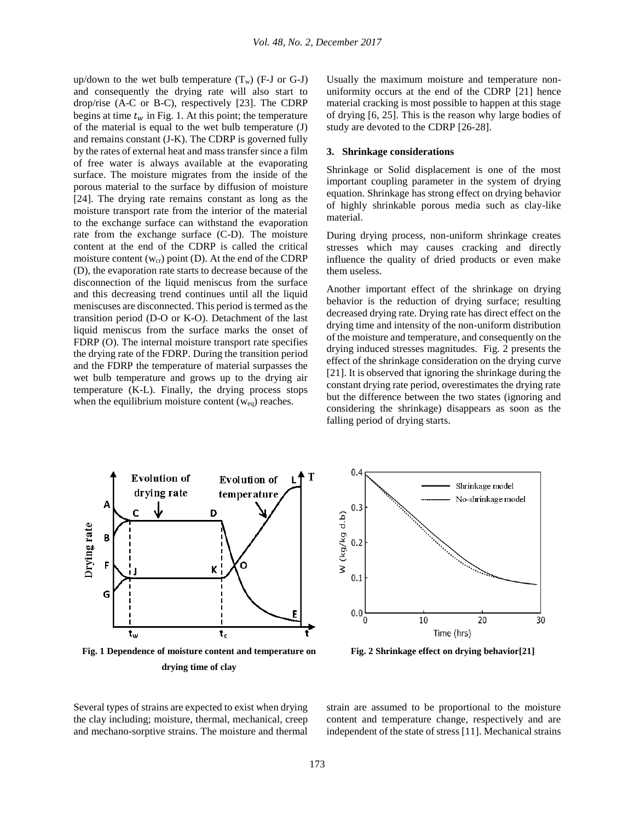up/down to the wet bulb temperature  $(T_w)$  (F-J or G-J) and consequently the drying rate will also start to drop/rise (A-C or B-C), respectively [23]. The CDRP begins at time  $t_w$  in Fig. 1. At this point; the temperature of the material is equal to the wet bulb temperature (J) and remains constant (J-K). The CDRP is governed fully by the rates of external heat and mass transfer since a film of free water is always available at the evaporating surface. The moisture migrates from the inside of the porous material to the surface by diffusion of moisture [24]. The drying rate remains constant as long as the moisture transport rate from the interior of the material to the exchange surface can withstand the evaporation rate from the exchange surface (C-D). The moisture content at the end of the CDRP is called the critical moisture content  $(w_{cr})$  point (D). At the end of the CDRP (D), the evaporation rate starts to decrease because of the disconnection of the liquid meniscus from the surface and this decreasing trend continues until all the liquid meniscuses are disconnected. This period is termed as the transition period (D-O or K-O). Detachment of the last liquid meniscus from the surface marks the onset of FDRP (O). The internal moisture transport rate specifies the drying rate of the FDRP. During the transition period and the FDRP the temperature of material surpasses the wet bulb temperature and grows up to the drying air temperature (K-L). Finally, the drying process stops when the equilibrium moisture content  $(w_{eq})$  reaches.

Usually the maximum moisture and temperature nonuniformity occurs at the end of the CDRP [21] hence material cracking is most possible to happen at this stage of drying [6, 25]. This is the reason why large bodies of study are devoted to the CDRP [26-28].

### **3. Shrinkage considerations**

Shrinkage or Solid displacement is one of the most important coupling parameter in the system of drying equation. Shrinkage has strong effect on drying behavior of highly shrinkable porous media such as clay-like material.

During drying process, non-uniform shrinkage creates stresses which may causes cracking and directly influence the quality of dried products or even make them useless.

Another important effect of the shrinkage on drying behavior is the reduction of drying surface; resulting decreased drying rate. Drying rate has direct effect on the drying time and intensity of the non-uniform distribution of the moisture and temperature, and consequently on the drying induced stresses magnitudes. Fig. 2 presents the effect of the shrinkage consideration on the drying curve [21]. It is observed that ignoring the shrinkage during the constant drying rate period, overestimates the drying rate but the difference between the two states (ignoring and considering the shrinkage) disappears as soon as the falling period of drying starts.



**Fig. 1 Dependence of moisture content and temperature on drying time of clay**



**Fig. 2 Shrinkage effect on drying behavior[21]**

Several types of strains are expected to exist when drying the clay including; moisture, thermal, mechanical, creep and mechano-sorptive strains. The moisture and thermal strain are assumed to be proportional to the moisture content and temperature change, respectively and are independent of the state of stress [11]. Mechanical strains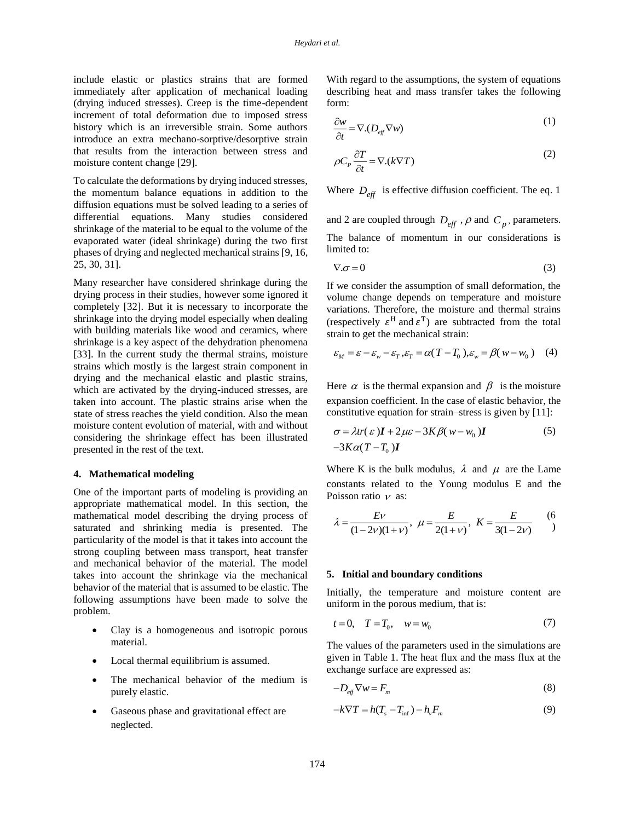include elastic or plastics strains that are formed immediately after application of mechanical loading (drying induced stresses). Creep is the time-dependent increment of total deformation due to imposed stress history which is an irreversible strain. Some authors introduce an extra mechano-sorptive/desorptive strain that results from the interaction between stress and moisture content change [29].

To calculate the deformations by drying induced stresses, the momentum balance equations in addition to the diffusion equations must be solved leading to a series of differential equations. Many studies considered shrinkage of the material to be equal to the volume of the evaporated water (ideal shrinkage) during the two first phases of drying and neglected mechanical strains [9, 16, 25, 30, 31].

Many researcher have considered shrinkage during the drying process in their studies, however some ignored it completely [32]. But it is necessary to incorporate the shrinkage into the drying model especially when dealing with building materials like wood and ceramics, where shrinkage is a key aspect of the dehydration phenomena [33]. In the current study the thermal strains, moisture strains which mostly is the largest strain component in drying and the mechanical elastic and plastic strains, which are activated by the drying-induced stresses, are taken into account. The plastic strains arise when the state of stress reaches the yield condition. Also the mean moisture content evolution of material, with and without considering the shrinkage effect has been illustrated presented in the rest of the text.

### **4. Mathematical modeling**

One of the important parts of modeling is providing an appropriate mathematical model. In this section, the mathematical model describing the drying process of saturated and shrinking media is presented. The particularity of the model is that it takes into account the strong coupling between mass transport, heat transfer and mechanical behavior of the material. The model takes into account the shrinkage via the mechanical behavior of the material that is assumed to be elastic. The following assumptions have been made to solve the problem.

- Clay is a homogeneous and isotropic porous material.
- Local thermal equilibrium is assumed.
- The mechanical behavior of the medium is purely elastic.
- Gaseous phase and gravitational effect are neglected.

With regard to the assumptions, the system of equations describing heat and mass transfer takes the following form:

$$
\frac{\partial w}{\partial t} = \nabla \cdot (D_{\text{eff}} \nabla w) \tag{1}
$$

$$
\rho C_p \frac{\partial T}{\partial t} = \nabla.(k \nabla T) \tag{2}
$$

Where  $D_{\text{eff}}$  is effective diffusion coefficient. The eq. 1

and 2 are coupled through  $D_{\text{eff}}$ ,  $\rho$  and  $C_p$ , parameters. The balance of momentum in our considerations is limited to:

$$
\nabla \cdot \sigma = 0 \tag{3}
$$

If we consider the assumption of small deformation, the volume change depends on temperature and moisture variations. Therefore, the moisture and thermal strains (respectively  $\varepsilon^H$  and  $\varepsilon^T$ ) are subtracted from the total The strain to get the mechanical strain:<br>  $\varepsilon_M = \varepsilon - \varepsilon_w - \varepsilon_T$ ,  $\varepsilon_T = \alpha(T - T_0)$ ,  $\varepsilon_w = \beta(w - w_0)$  (4)

$$
\varepsilon_M = \varepsilon - \varepsilon_w - \varepsilon_T, \varepsilon_T = \alpha (T - T_0), \varepsilon_w = \beta (w - w_0) \quad (4)
$$

Here  $\alpha$  is the thermal expansion and  $\beta$  is the moisture expansion coefficient. In the case of elastic behavior, the

constitutive equation for strain–stress is given by [11]:  
\n
$$
\sigma = \lambda tr(\varepsilon) \mathbf{I} + 2\mu \varepsilon - 3K\beta (w - w_0) \mathbf{I}
$$
\n(5)  
\n
$$
-3K\alpha (T - T_0) \mathbf{I}
$$

Where K is the bulk modulus,  $\lambda$  and  $\mu$  are the Lame constants related to the Young modulus E and the

Poisson ratio v as:  
\n
$$
\lambda = \frac{Ev}{(1-2v)(1+v)}, \ \mu = \frac{E}{2(1+v)}, \ K = \frac{E}{3(1-2v)}
$$
\n(6)

### **5. Initial and boundary conditions**

Initially, the temperature and moisture content are uniform in the porous medium, that is:

$$
t = 0, \quad T = T_0, \quad w = w_0 \tag{7}
$$

The values of the parameters used in the simulations are given in Table 1. The heat flux and the mass flux at the exchange surface are expressed as:

$$
-D_{\text{eff}}\nabla w = F_m \tag{8}
$$

$$
-k\nabla T = h(T_s - T_{\text{inf}}) - h_v F_m
$$
\n(9)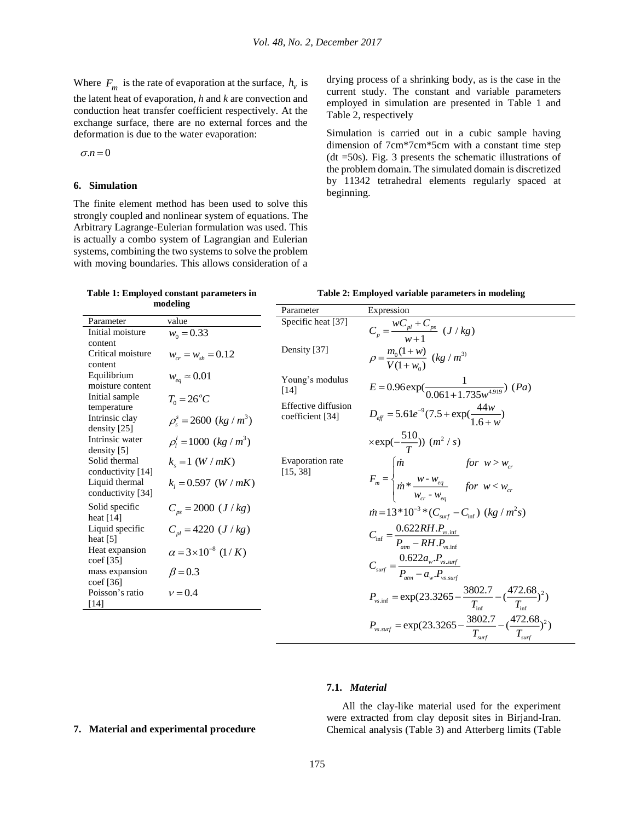Where  $F_m$  is the rate of evaporation at the surface,  $h_v$  is the latent heat of evaporation, *h* and *k* are convection and conduction heat transfer coefficient respectively. At the exchange surface, there are no external forces and the deformation is due to the water evaporation:

 $\sigma n = 0$ 

### **6. Simulation**

The finite element method has been used to solve this strongly coupled and nonlinear system of equations. The Arbitrary Lagrange-Eulerian formulation was used. This is actually a combo system of Lagrangian and Eulerian systems, combining the two systems to solve the problem with moving boundaries. This allows consideration of a drying process of a shrinking body, as is the case in the current study. The constant and variable parameters employed in simulation are presented in Table 1 and Table 2, respectively

Simulation is carried out in a cubic sample having dimension of 7cm\*7cm\*5cm with a constant time step (dt =50s). Fig. 3 presents the schematic illustrations of the problem domain. The simulated domain is discretized by 11342 tetrahedral elements regularly spaced at beginning.

### **Table 1: Employed constant parameters in**

**Table 2: Employed variable parameters in modeling**

| modeling                             |                                   |                                         |                                                                                                                                                 |  |  |
|--------------------------------------|-----------------------------------|-----------------------------------------|-------------------------------------------------------------------------------------------------------------------------------------------------|--|--|
|                                      |                                   | Parameter                               | Expression                                                                                                                                      |  |  |
| Parameter                            | value                             | Specific heat [37]                      |                                                                                                                                                 |  |  |
| Initial moisture                     | $w_0 = 0.33$                      |                                         | $C_p = \frac{wC_{pl} + C_{ps}}{1}$ ( <i>J</i> / <i>kg</i> )                                                                                     |  |  |
| content                              |                                   | Density [37]                            |                                                                                                                                                 |  |  |
| Critical moisture                    | $w_{cr} = w_{sh} = 0.12$          |                                         | $\rho = \frac{m_0(1+w)}{V(1+w)}$ (kg / m <sup>3)</sup>                                                                                          |  |  |
| content                              |                                   |                                         |                                                                                                                                                 |  |  |
| Equilibrium<br>moisture content      | $W_{eq} \simeq 0.01$              | Young's modulus                         |                                                                                                                                                 |  |  |
| Initial sample                       |                                   | $[14]$                                  | $E = 0.96 \exp(\frac{1}{0.061 + 1.735 w^{4.919}}) (Pa)$                                                                                         |  |  |
| temperature                          | $T_0 = 26^{\circ}C$               | Effective diffusion<br>coefficient [34] |                                                                                                                                                 |  |  |
| Intrinsic clay                       | $\rho_s^s = 2600 \ (kg/m^3)$      |                                         | $D_{\text{eff}} = 5.61e^{-9}(7.5 + \exp(\frac{44w}{1.6+w}))$                                                                                    |  |  |
| density [25]                         |                                   |                                         |                                                                                                                                                 |  |  |
| Intrinsic water                      | $\rho_i^l = 1000 \ (kg/m^3)$      |                                         | $\times \exp(-\frac{510}{T})$ $(m^2/s)$                                                                                                         |  |  |
| density $[5]$                        |                                   |                                         |                                                                                                                                                 |  |  |
| Solid thermal                        | $k_{\rm s} = 1$ ( <i>W / mK</i> ) | Evaporation rate                        |                                                                                                                                                 |  |  |
| conductivity [14]<br>Liquid thermal  | $k_i = 0.597$ (W / mK)            | [15, 38]                                | $F_m = \begin{cases} \dot{m} & \text{for } w > w_c, \\ \dot{m} * \frac{w \cdot w_{eq}}{w_{cr} \cdot w_{eq}} & \text{for } w < w_c. \end{cases}$ |  |  |
| conductivity [34]                    |                                   |                                         |                                                                                                                                                 |  |  |
| Solid specific                       |                                   |                                         |                                                                                                                                                 |  |  |
| heat $[14]$                          | $C_{_{ns}} = 2000 (J/kg)$         |                                         | $\dot{m} = 13 * 10^{-3} * (C_{surf} - C_{inf}) (kg/m^2 s)$                                                                                      |  |  |
| Liquid specific                      | $C_{nl} = 4220 (J/kg)$            |                                         |                                                                                                                                                 |  |  |
| heat $[5]$                           |                                   |                                         | $C_{\text{inf}} = \frac{0.622RH.P_{\text{vs. inf}}}{P_{\text{cm}} - RH.P_{\text{vs. inf}}}$                                                     |  |  |
| Heat expansion<br>$\text{coef}$ [35] | $\alpha = 3 \times 10^{-8}$ (1/K) |                                         |                                                                                                                                                 |  |  |
| mass expansion                       | $\beta$ = 0.3                     |                                         | $C_{surf} = \frac{0.622 a_w P_{vs. surf}}{P - a \cdot P}$                                                                                       |  |  |
| $\text{coef}$ [36]                   |                                   |                                         |                                                                                                                                                 |  |  |
| Poisson's ratio                      | $v = 0.4$                         |                                         | $P_{\text{vs. inf}} = \exp(23.3265 - \frac{3802.7}{T_s} - (\frac{472.68}{T_s})^2)$                                                              |  |  |
| [14]                                 |                                   |                                         |                                                                                                                                                 |  |  |
|                                      |                                   |                                         | $P_{vs. surf} = \exp(23.3265 - \frac{3802.7}{T_{emf}} - (\frac{472.68}{T_{surf}})^2)$                                                           |  |  |
|                                      |                                   |                                         |                                                                                                                                                 |  |  |

### **7.1.** *Material*

All the clay-like material used for the experiment were extracted from clay deposit sites in Birjand-Iran. Chemical analysis (Table 3) and Atterberg limits (Table

### **7. Material and experimental procedure**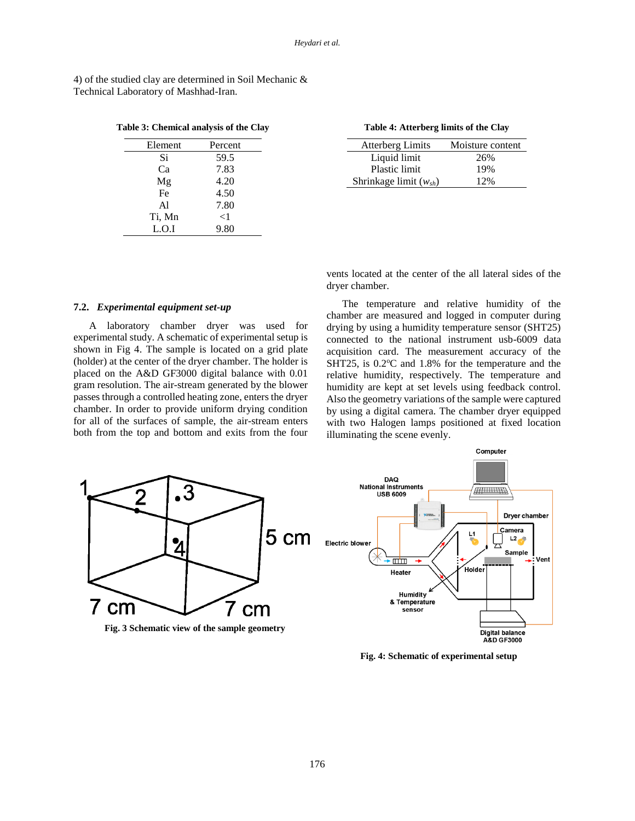| 4) of the studied clay are determined in Soil Mechanic $\&$ |
|-------------------------------------------------------------|
| Technical Laboratory of Mashhad-Iran.                       |

| Element | Percent |  |
|---------|---------|--|
| Si      | 59.5    |  |
| Ca      | 7.83    |  |
| Mg      | 4.20    |  |
| Fe      | 4.50    |  |
| A1      | 7.80    |  |
| Ti, Mn  | ${<}1$  |  |
| L.O.I   | 9.80    |  |

| Table 3: Chemical analysis of the Clay |  |  |  |  |  |
|----------------------------------------|--|--|--|--|--|
|----------------------------------------|--|--|--|--|--|

**Table 4: Atterberg limits of the Clay**

| <b>Atterberg Limits</b>    | Moisture content |  |  |
|----------------------------|------------------|--|--|
| Liquid limit               | 26%              |  |  |
| Plastic limit              | 19%              |  |  |
| Shrinkage limit $(w_{sh})$ | 12%              |  |  |

### **7.2.** *Experimental equipment set-up*

A laboratory chamber dryer was used for experimental study. A schematic of experimental setup is shown in Fig 4. The sample is located on a grid plate (holder) at the center of the dryer chamber. The holder is placed on the A&D GF3000 digital balance with 0.01 gram resolution. The air-stream generated by the blower passes through a controlled heating zone, enters the dryer chamber. In order to provide uniform drying condition for all of the surfaces of sample, the air-stream enters both from the top and bottom and exits from the four vents located at the center of the all lateral sides of the dryer chamber.

The temperature and relative humidity of the chamber are measured and logged in computer during drying by using a humidity temperature sensor (SHT25) connected to the national instrument usb-6009 data acquisition card. The measurement accuracy of the SHT25, is  $0.2$ <sup>o</sup>C and 1.8% for the temperature and the relative humidity, respectively. The temperature and humidity are kept at set levels using feedback control. Also the geometry variations of the sample were captured by using a digital camera. The chamber dryer equipped with two Halogen lamps positioned at fixed location illuminating the scene evenly.



**Fig. 4: Schematic of experimental setup**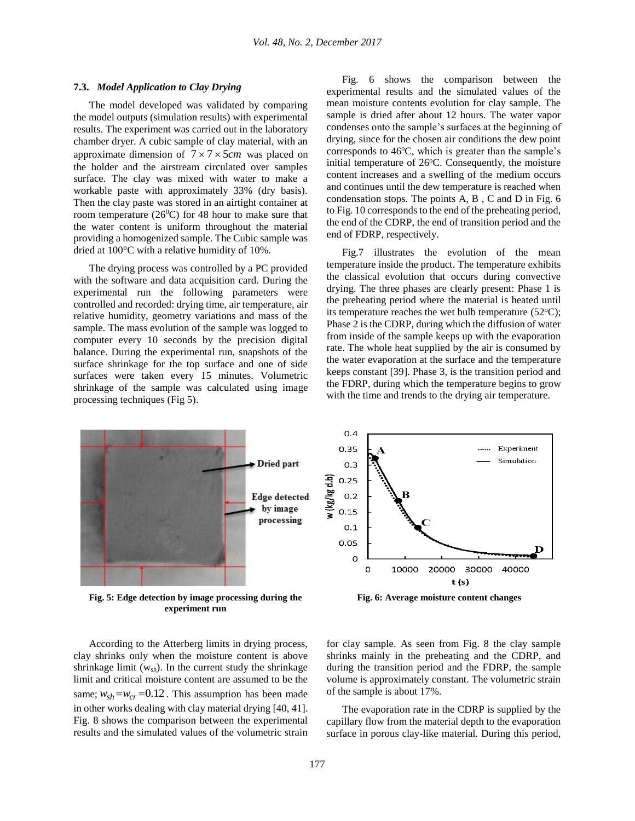### **7.3.** *Model Application to Clay Drying*

The model developed was validated by comparing the model outputs (simulation results) with experimental results. The experiment was carried out in the laboratory chamber dryer. A cubic sample of clay material, with an approximate dimension of  $7 \times 7 \times 5$ *cm* was placed on the holder and the airstream circulated over samples surface. The clay was mixed with water to make a workable paste with approximately 33% (dry basis). Then the clay paste was stored in an airtight container at room temperature ( $26^{\circ}$ C) for 48 hour to make sure that the water content is uniform throughout the material providing a homogenized sample. The Cubic sample was dried at 100°C with a relative humidity of 10%.

The drying process was controlled by a PC provided with the software and data acquisition card. During the experimental run the following parameters were controlled and recorded: drying time, air temperature, air relative humidity, geometry variations and mass of the sample. The mass evolution of the sample was logged to computer every 10 seconds by the precision digital balance. During the experimental run, snapshots of the surface shrinkage for the top surface and one of side surfaces were taken every 15 minutes. Volumetric shrinkage of the sample was calculated using image processing techniques (Fig 5).

Fig. 6 shows the comparison between the experimental results and the simulated values of the mean moisture contents evolution for clay sample. The sample is dried after about 12 hours. The water vapor condenses onto the sample's surfaces at the beginning of drying, since for the chosen air conditions the dew point corresponds to  $46^{\circ}$ C, which is greater than the sample's initial temperature of  $26^{\circ}$ C. Consequently, the moisture content increases and a swelling of the medium occurs and continues until the dew temperature is reached when condensation stops. The points A, B , C and D in Fig. 6 to Fig. 10 corresponds to the end of the preheating period, the end of the CDRP, the end of transition period and the end of FDRP, respectively.

Fig.7 illustrates the evolution of the mean temperature inside the product. The temperature exhibits the classical evolution that occurs during convective drying. The three phases are clearly present: Phase 1 is the preheating period where the material is heated until its temperature reaches the wet bulb temperature  $(52^{\circ}C)$ ; Phase 2 is the CDRP, during which the diffusion of water from inside of the sample keeps up with the evaporation rate. The whole heat supplied by the air is consumed by the water evaporation at the surface and the temperature keeps constant [39]. Phase 3, is the transition period and the FDRP, during which the temperature begins to grow with the time and trends to the drying air temperature.



**Fig. 5: Edge detection by image processing during the experiment run**



According to the Atterberg limits in drying process, clay shrinks only when the moisture content is above shrinkage limit  $(w_{sh})$ . In the current study the shrinkage limit and critical moisture content are assumed to be the same;  $w_{sh} = w_{cr} = 0.12$ . This assumption has been made in other works dealing with clay material drying [40, 41]. Fig. 8 shows the comparison between the experimental results and the simulated values of the volumetric strain

for clay sample. As seen from Fig. 8 the clay sample shrinks mainly in the preheating and the CDRP, and during the transition period and the FDRP, the sample volume is approximately constant. The volumetric strain of the sample is about 17%.

The evaporation rate in the CDRP is supplied by the capillary flow from the material depth to the evaporation surface in porous clay-like material. During this period,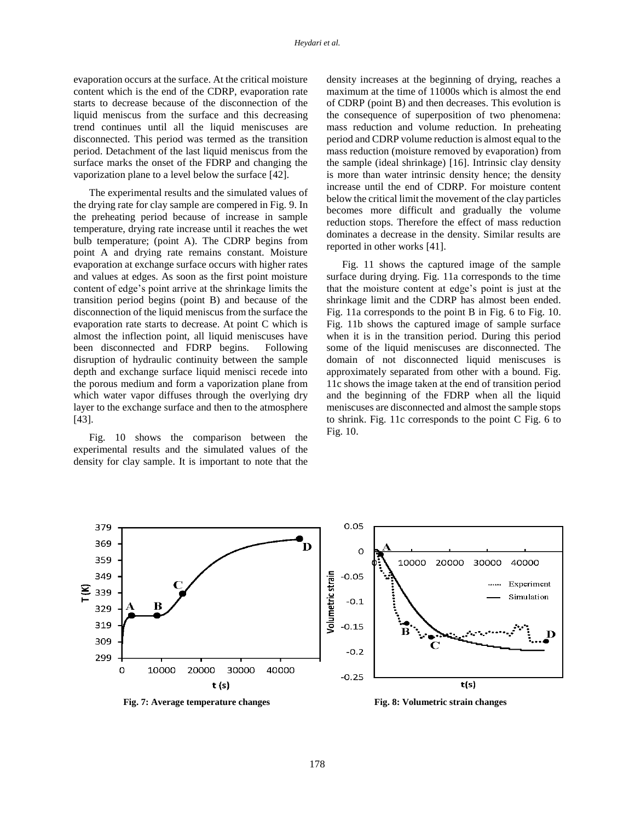evaporation occurs at the surface. At the critical moisture content which is the end of the CDRP, evaporation rate starts to decrease because of the disconnection of the liquid meniscus from the surface and this decreasing trend continues until all the liquid meniscuses are disconnected. This period was termed as the transition period. Detachment of the last liquid meniscus from the surface marks the onset of the FDRP and changing the vaporization plane to a level below the surface [42].

The experimental results and the simulated values of the drying rate for clay sample are compered in Fig. 9. In the preheating period because of increase in sample temperature, drying rate increase until it reaches the wet bulb temperature; (point A). The CDRP begins from point A and drying rate remains constant. Moisture evaporation at exchange surface occurs with higher rates and values at edges. As soon as the first point moisture content of edge's point arrive at the shrinkage limits the transition period begins (point B) and because of the disconnection of the liquid meniscus from the surface the evaporation rate starts to decrease. At point C which is almost the inflection point, all liquid meniscuses have been disconnected and FDRP begins. Following disruption of hydraulic continuity between the sample depth and exchange surface liquid menisci recede into the porous medium and form a vaporization plane from which water vapor diffuses through the overlying dry layer to the exchange surface and then to the atmosphere [43].

Fig. 10 shows the comparison between the experimental results and the simulated values of the density for clay sample. It is important to note that the density increases at the beginning of drying, reaches a maximum at the time of 11000s which is almost the end of CDRP (point B) and then decreases. This evolution is the consequence of superposition of two phenomena: mass reduction and volume reduction. In preheating period and CDRP volume reduction is almost equal to the mass reduction (moisture removed by evaporation) from the sample (ideal shrinkage) [16]. Intrinsic clay density is more than water intrinsic density hence; the density increase until the end of CDRP. For moisture content below the critical limit the movement of the clay particles becomes more difficult and gradually the volume reduction stops. Therefore the effect of mass reduction dominates a decrease in the density. Similar results are reported in other works [41].

Fig. 11 shows the captured image of the sample surface during drying. Fig. 11a corresponds to the time that the moisture content at edge's point is just at the shrinkage limit and the CDRP has almost been ended. Fig. 11a corresponds to the point B in Fig. 6 to Fig. 10. Fig. 11b shows the captured image of sample surface when it is in the transition period. During this period some of the liquid meniscuses are disconnected. The domain of not disconnected liquid meniscuses is approximately separated from other with a bound. Fig. 11c shows the image taken at the end of transition period and the beginning of the FDRP when all the liquid meniscuses are disconnected and almost the sample stops to shrink. Fig. 11c corresponds to the point C Fig. 6 to Fig. 10.



**Fig. 7: Average temperature changes Fig. 8: Volumetric strain changes**

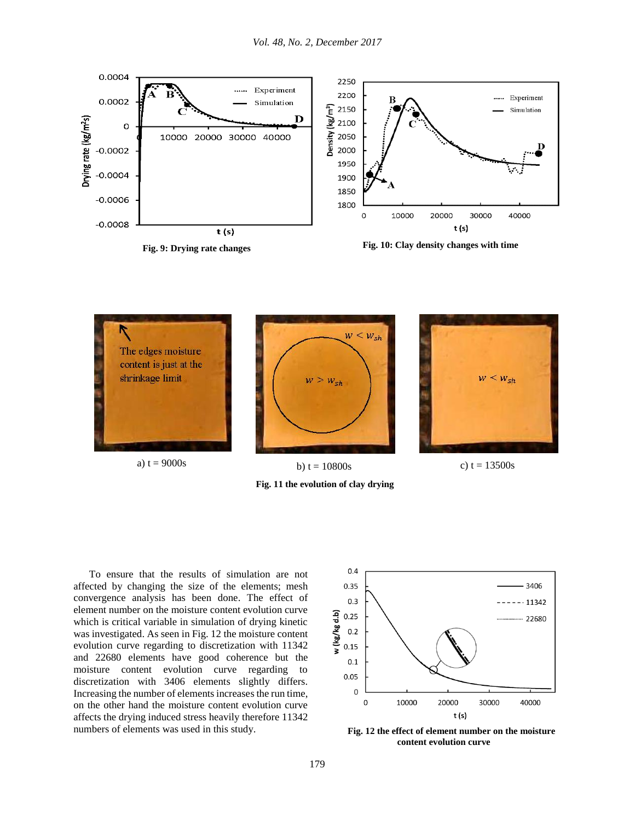



**Fig. 11 the evolution of clay drying**

To ensure that the results of simulation are not affected by changing the size of the elements; mesh convergence analysis has been done. The effect of element number on the moisture content evolution curve which is critical variable in simulation of drying kinetic was investigated. As seen in Fig. 12 the moisture content evolution curve regarding to discretization with 11342 and 22680 elements have good coherence but the moisture content evolution curve regarding to discretization with 3406 elements slightly differs. Increasing the number of elements increases the run time, on the other hand the moisture content evolution curve affects the drying induced stress heavily therefore 11342 numbers of elements was used in this study. **Fig. 12** the effect of element number on the moisture



**content evolution curve**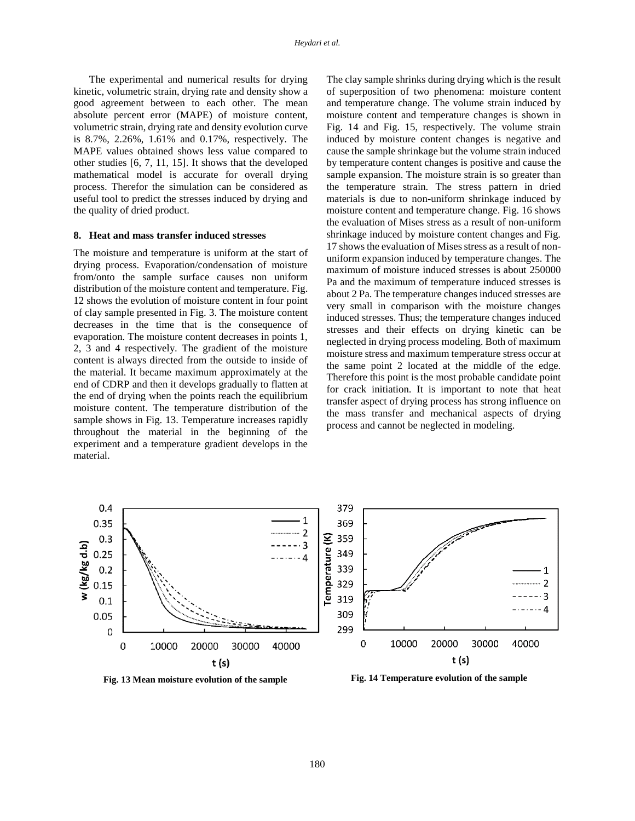The experimental and numerical results for drying kinetic, volumetric strain, drying rate and density show a good agreement between to each other. The mean absolute percent error (MAPE) of moisture content, volumetric strain, drying rate and density evolution curve is 8.7%, 2.26%, 1.61% and 0.17%, respectively. The MAPE values obtained shows less value compared to other studies [6, 7, 11, 15]. It shows that the developed mathematical model is accurate for overall drying process. Therefor the simulation can be considered as useful tool to predict the stresses induced by drying and the quality of dried product.

### **8. Heat and mass transfer induced stresses**

The moisture and temperature is uniform at the start of drying process. Evaporation/condensation of moisture from/onto the sample surface causes non uniform distribution of the moisture content and temperature. Fig. 12 shows the evolution of moisture content in four point of clay sample presented in Fig. 3. The moisture content decreases in the time that is the consequence of evaporation. The moisture content decreases in points 1, 2, 3 and 4 respectively. The gradient of the moisture content is always directed from the outside to inside of the material. It became maximum approximately at the end of CDRP and then it develops gradually to flatten at the end of drying when the points reach the equilibrium moisture content. The temperature distribution of the sample shows in Fig. 13. Temperature increases rapidly throughout the material in the beginning of the experiment and a temperature gradient develops in the material.

The clay sample shrinks during drying which is the result of superposition of two phenomena: moisture content and temperature change. The volume strain induced by moisture content and temperature changes is shown in Fig. 14 and Fig. 15, respectively. The volume strain induced by moisture content changes is negative and cause the sample shrinkage but the volume strain induced by temperature content changes is positive and cause the sample expansion. The moisture strain is so greater than the temperature strain. The stress pattern in dried materials is due to non-uniform shrinkage induced by moisture content and temperature change. Fig. 16 shows the evaluation of Mises stress as a result of non-uniform shrinkage induced by moisture content changes and Fig. 17 shows the evaluation of Mises stress as a result of nonuniform expansion induced by temperature changes. The maximum of moisture induced stresses is about 250000 Pa and the maximum of temperature induced stresses is about 2 Pa. The temperature changes induced stresses are very small in comparison with the moisture changes induced stresses. Thus; the temperature changes induced stresses and their effects on drying kinetic can be neglected in drying process modeling. Both of maximum moisture stress and maximum temperature stress occur at the same point 2 located at the middle of the edge. Therefore this point is the most probable candidate point for crack initiation. It is important to note that heat transfer aspect of drying process has strong influence on the mass transfer and mechanical aspects of drying process and cannot be neglected in modeling.



**Fig. 13 Mean moisture evolution of the sample Fig. 14 Temperature evolution of the sample**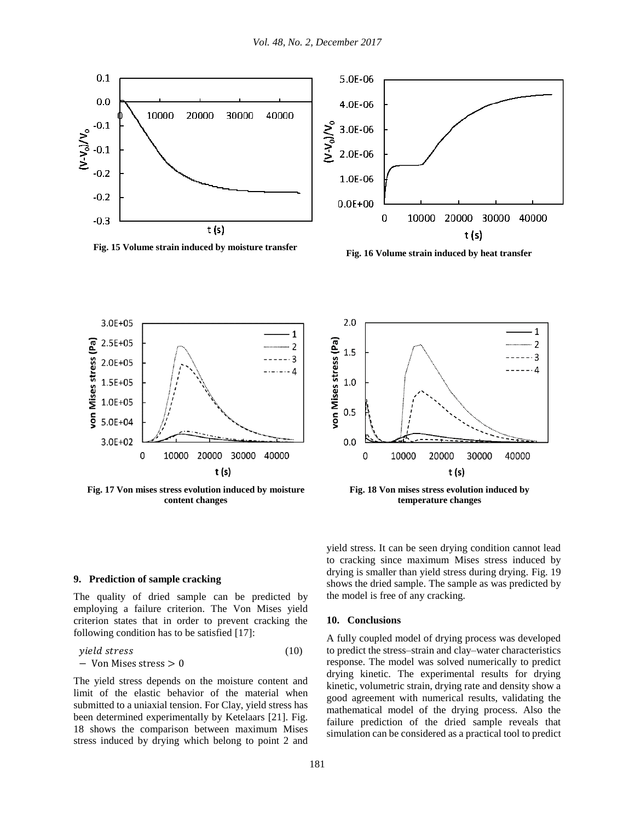





**Fig. 17 Von mises stress evolution induced by moisture content changes**



**temperature changes**

### **9. Prediction of sample cracking**

The quality of dried sample can be predicted by employing a failure criterion. The Von Mises yield criterion states that in order to prevent cracking the following condition has to be satisfied [17]:

| $yield stress$         | (10) |
|------------------------|------|
| - Von Mises stress > 0 |      |

The yield stress depends on the moisture content and limit of the elastic behavior of the material when submitted to a uniaxial tension. For Clay, yield stress has been determined experimentally by Ketelaars [21]. Fig. 18 shows the comparison between maximum Mises stress induced by drying which belong to point 2 and yield stress. It can be seen drying condition cannot lead to cracking since maximum Mises stress induced by drying is smaller than yield stress during drying. Fig. 19 shows the dried sample. The sample as was predicted by the model is free of any cracking.

### **10. Conclusions**

A fully coupled model of drying process was developed to predict the stress–strain and clay–water characteristics response. The model was solved numerically to predict drying kinetic. The experimental results for drying kinetic, volumetric strain, drying rate and density show a good agreement with numerical results, validating the mathematical model of the drying process. Also the failure prediction of the dried sample reveals that simulation can be considered as a practical tool to predict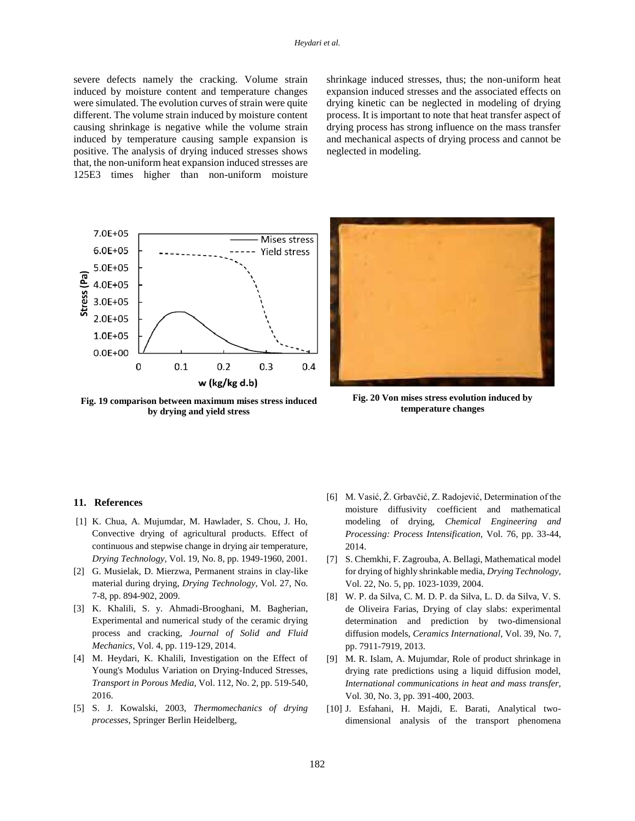severe defects namely the cracking. Volume strain induced by moisture content and temperature changes were simulated. The evolution curves of strain were quite different. The volume strain induced by moisture content causing shrinkage is negative while the volume strain induced by temperature causing sample expansion is positive. The analysis of drying induced stresses shows that, the non-uniform heat expansion induced stresses are 125E3 times higher than non-uniform moisture shrinkage induced stresses, thus; the non-uniform heat expansion induced stresses and the associated effects on drying kinetic can be neglected in modeling of drying process. It is important to note that heat transfer aspect of drying process has strong influence on the mass transfer and mechanical aspects of drying process and cannot be neglected in modeling.



**Fig. 19 comparison between maximum mises stress induced by drying and yield stress**



**Fig. 20 Von mises stress evolution induced by temperature changes**

### **11. References**

- [1] K. Chua, A. Mujumdar, M. Hawlader, S. Chou, J. Ho, Convective drying of agricultural products. Effect of continuous and stepwise change in drying air temperature, *Drying Technology,* Vol. 19, No. 8, pp. 1949-1960, 2001.
- [2] G. Musielak, D. Mierzwa, Permanent strains in clay-like material during drying, *Drying Technology,* Vol. 27, No. 7-8, pp. 894-902, 2009.
- [3] K. Khalili, S. y. Ahmadi-Brooghani, M. Bagherian, Experimental and numerical study of the ceramic drying process and cracking, *Journal of Solid and Fluid Mechanics,* Vol. 4, pp. 119-129, 2014.
- [4] M. Heydari, K. Khalili, Investigation on the Effect of Young's Modulus Variation on Drying-Induced Stresses, *Transport in Porous Media,* Vol. 112, No. 2, pp. 519-540, 2016.
- [5] S. J. Kowalski, 2003, *Thermomechanics of drying processes*, Springer Berlin Heidelberg,
- [6] M. Vasić, Ž. Grbavčić, Z. Radojević, Determination of the moisture diffusivity coefficient and mathematical modeling of drying, *Chemical Engineering and Processing: Process Intensification,* Vol. 76, pp. 33-44, 2014.
- [7] S. Chemkhi, F. Zagrouba, A. Bellagi, Mathematical model for drying of highly shrinkable media, *Drying Technology,* Vol. 22, No. 5, pp. 1023-1039, 2004.
- [8] W. P. da Silva, C. M. D. P. da Silva, L. D. da Silva, V. S. de Oliveira Farias, Drying of clay slabs: experimental determination and prediction by two-dimensional diffusion models, *Ceramics International,* Vol. 39, No. 7, pp. 7911-7919, 2013.
- [9] M. R. Islam, A. Mujumdar, Role of product shrinkage in drying rate predictions using a liquid diffusion model, *International communications in heat and mass transfer,* Vol. 30, No. 3, pp. 391-400, 2003.
- [10] J. Esfahani, H. Majdi, E. Barati, Analytical twodimensional analysis of the transport phenomena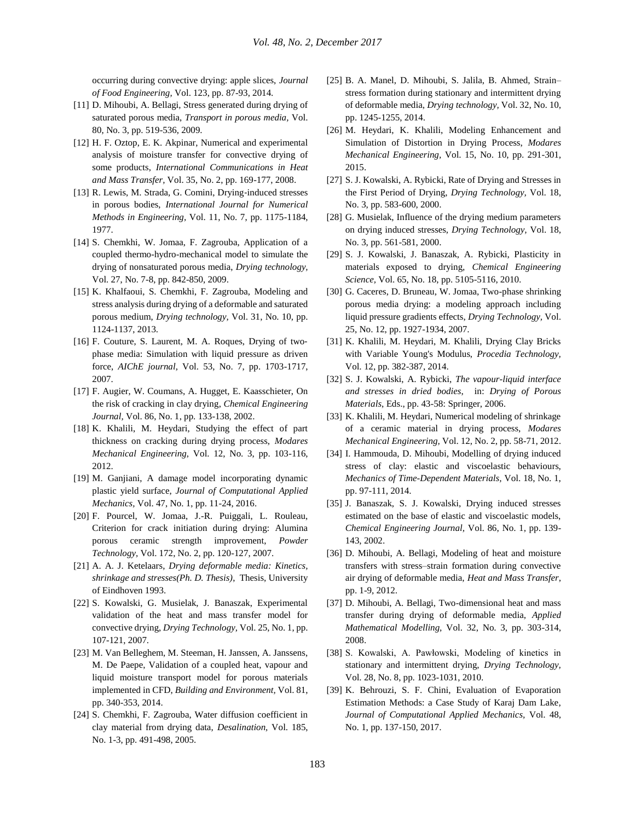occurring during convective drying: apple slices, *Journal of Food Engineering,* Vol. 123, pp. 87-93, 2014.

- [11] D. Mihoubi, A. Bellagi, Stress generated during drying of saturated porous media, *Transport in porous media,* Vol. 80, No. 3, pp. 519-536, 2009.
- [12] H. F. Oztop, E. K. Akpinar, Numerical and experimental analysis of moisture transfer for convective drying of some products, *International Communications in Heat and Mass Transfer,* Vol. 35, No. 2, pp. 169-177, 2008.
- [13] R. Lewis, M. Strada, G. Comini, Drying-induced stresses in porous bodies, *International Journal for Numerical Methods in Engineering,* Vol. 11, No. 7, pp. 1175-1184, 1977.
- [14] S. Chemkhi, W. Jomaa, F. Zagrouba, Application of a coupled thermo-hydro-mechanical model to simulate the drying of nonsaturated porous media, *Drying technology,* Vol. 27, No. 7-8, pp. 842-850, 2009.
- [15] K. Khalfaoui, S. Chemkhi, F. Zagrouba, Modeling and stress analysis during drying of a deformable and saturated porous medium, *Drying technology,* Vol. 31, No. 10, pp. 1124-1137, 2013.
- [16] F. Couture, S. Laurent, M. A. Roques, Drying of twophase media: Simulation with liquid pressure as driven force, *AIChE journal,* Vol. 53, No. 7, pp. 1703-1717, 2007.
- [17] F. Augier, W. Coumans, A. Hugget, E. Kaasschieter, On the risk of cracking in clay drying, *Chemical Engineering Journal,* Vol. 86, No. 1, pp. 133-138, 2002.
- [18] K. Khalili, M. Heydari, Studying the effect of part thickness on cracking during drying process, *Modares Mechanical Engineering,* Vol. 12, No. 3, pp. 103-116, 2012.
- [19] M. Ganjiani, A damage model incorporating dynamic plastic yield surface, *Journal of Computational Applied Mechanics,* Vol. 47, No. 1, pp. 11-24, 2016.
- [20] F. Pourcel, W. Jomaa, J.-R. Puiggali, L. Rouleau, Criterion for crack initiation during drying: Alumina porous ceramic strength improvement, *Powder Technology,* Vol. 172, No. 2, pp. 120-127, 2007.
- [21] A. A. J. Ketelaars, *Drying deformable media: Kinetics, shrinkage and stresses(Ph. D. Thesis)*, Thesis, University of Eindhoven 1993.
- [22] S. Kowalski, G. Musielak, J. Banaszak, Experimental validation of the heat and mass transfer model for convective drying, *Drying Technology,* Vol. 25, No. 1, pp. 107-121, 2007.
- [23] M. Van Belleghem, M. Steeman, H. Janssen, A. Janssens, M. De Paepe, Validation of a coupled heat, vapour and liquid moisture transport model for porous materials implemented in CFD, *Building and Environment,* Vol. 81, pp. 340-353, 2014.
- [24] S. Chemkhi, F. Zagrouba, Water diffusion coefficient in clay material from drying data, *Desalination,* Vol. 185, No. 1-3, pp. 491-498, 2005.
- [25] B. A. Manel, D. Mihoubi, S. Jalila, B. Ahmed, Strain– stress formation during stationary and intermittent drying of deformable media, *Drying technology,* Vol. 32, No. 10, pp. 1245-1255, 2014.
- [26] M. Heydari, K. Khalili, Modeling Enhancement and Simulation of Distortion in Drying Process, *Modares Mechanical Engineering,* Vol. 15, No. 10, pp. 291-301, 2015.
- [27] S. J. Kowalski, A. Rybicki, Rate of Drying and Stresses in the First Period of Drying, *Drying Technology,* Vol. 18, No. 3, pp. 583-600, 2000.
- [28] G. Musielak, Influence of the drying medium parameters on drying induced stresses, *Drying Technology,* Vol. 18, No. 3, pp. 561-581, 2000.
- [29] S. J. Kowalski, J. Banaszak, A. Rybicki, Plasticity in materials exposed to drying, *Chemical Engineering Science,* Vol. 65, No. 18, pp. 5105-5116, 2010.
- [30] G. Caceres, D. Bruneau, W. Jomaa, Two-phase shrinking porous media drying: a modeling approach including liquid pressure gradients effects, *Drying Technology,* Vol. 25, No. 12, pp. 1927-1934, 2007.
- [31] K. Khalili, M. Heydari, M. Khalili, Drying Clay Bricks with Variable Young's Modulus, *Procedia Technology,* Vol. 12, pp. 382-387, 2014.
- [32] S. J. Kowalski, A. Rybicki, *The vapour-liquid interface and stresses in dried bodies*, in: *Drying of Porous Materials*, Eds., pp. 43-58: Springer, 2006.
- [33] K. Khalili, M. Heydari, Numerical modeling of shrinkage of a ceramic material in drying process, *Modares Mechanical Engineering,* Vol. 12, No. 2, pp. 58-71, 2012.
- [34] I. Hammouda, D. Mihoubi, Modelling of drying induced stress of clay: elastic and viscoelastic behaviours, *Mechanics of Time-Dependent Materials,* Vol. 18, No. 1, pp. 97-111, 2014.
- [35] J. Banaszak, S. J. Kowalski, Drying induced stresses estimated on the base of elastic and viscoelastic models, *Chemical Engineering Journal,* Vol. 86, No. 1, pp. 139- 143, 2002.
- [36] D. Mihoubi, A. Bellagi, Modeling of heat and moisture transfers with stress–strain formation during convective air drying of deformable media, *Heat and Mass Transfer*, pp. 1-9, 2012.
- [37] D. Mihoubi, A. Bellagi, Two-dimensional heat and mass transfer during drying of deformable media, *Applied Mathematical Modelling,* Vol. 32, No. 3, pp. 303-314, 2008.
- [38] S. Kowalski, A. Pawłowski, Modeling of kinetics in stationary and intermittent drying, *Drying Technology,* Vol. 28, No. 8, pp. 1023-1031, 2010.
- [39] K. Behrouzi, S. F. Chini, Evaluation of Evaporation Estimation Methods: a Case Study of Karaj Dam Lake, *Journal of Computational Applied Mechanics,* Vol. 48, No. 1, pp. 137-150, 2017.